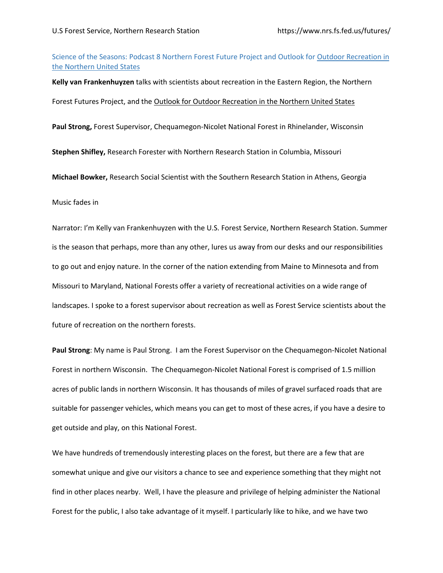## Science of the Seasons: Podcast 8 Northern Forest Future Project and Outlook for Outdoor Recreation in the Northern United States

**Kelly van Frankenhuyzen** talks with scientists about recreation in the Eastern Region, the Northern Forest Futures Project, and the Outlook for Outdoor Recreation in the Northern United States **Paul Strong,** Forest Supervisor, Chequamegon-Nicolet National Forest in Rhinelander, Wisconsin **Stephen Shifley,** Research Forester with Northern Research Station in Columbia, Missouri **Michael Bowker,** Research Social Scientist with the Southern Research Station in Athens, Georgia

Music fades in

Narrator: I'm Kelly van Frankenhuyzen with the U.S. Forest Service, Northern Research Station. Summer is the season that perhaps, more than any other, lures us away from our desks and our responsibilities to go out and enjoy nature. In the corner of the nation extending from Maine to Minnesota and from Missouri to Maryland, National Forests offer a variety of recreational activities on a wide range of landscapes. I spoke to a forest supervisor about recreation as well as Forest Service scientists about the future of recreation on the northern forests.

**Paul Strong**: My name is Paul Strong. I am the Forest Supervisor on the Chequamegon-Nicolet National Forest in northern Wisconsin. The Chequamegon-Nicolet National Forest is comprised of 1.5 million acres of public lands in northern Wisconsin. It has thousands of miles of gravel surfaced roads that are suitable for passenger vehicles, which means you can get to most of these acres, if you have a desire to get outside and play, on this National Forest.

We have hundreds of tremendously interesting places on the forest, but there are a few that are somewhat unique and give our visitors a chance to see and experience something that they might not find in other places nearby. Well, I have the pleasure and privilege of helping administer the National Forest for the public, I also take advantage of it myself. I particularly like to hike, and we have two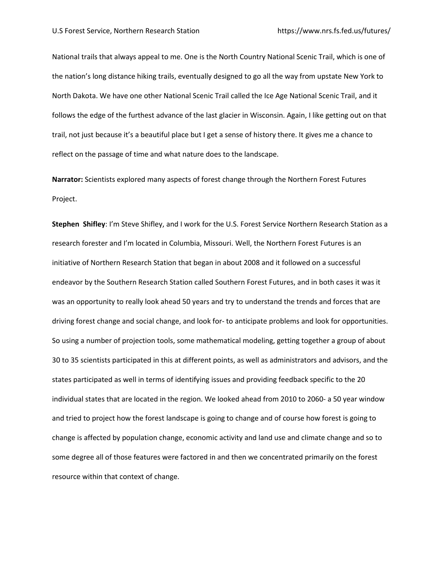National trails that always appeal to me. One is the North Country National Scenic Trail, which is one of the nation's long distance hiking trails, eventually designed to go all the way from upstate New York to North Dakota. We have one other National Scenic Trail called the Ice Age National Scenic Trail, and it follows the edge of the furthest advance of the last glacier in Wisconsin. Again, I like getting out on that trail, not just because it's a beautiful place but I get a sense of history there. It gives me a chance to reflect on the passage of time and what nature does to the landscape.

**Narrator:** Scientists explored many aspects of forest change through the Northern Forest Futures Project.

**Stephen Shifley**: I'm Steve Shifley, and I work for the U.S. Forest Service Northern Research Station as a research forester and I'm located in Columbia, Missouri. Well, the Northern Forest Futures is an initiative of Northern Research Station that began in about 2008 and it followed on a successful endeavor by the Southern Research Station called Southern Forest Futures, and in both cases it was it was an opportunity to really look ahead 50 years and try to understand the trends and forces that are driving forest change and social change, and look for- to anticipate problems and look for opportunities. So using a number of projection tools, some mathematical modeling, getting together a group of about 30 to 35 scientists participated in this at different points, as well as administrators and advisors, and the states participated as well in terms of identifying issues and providing feedback specific to the 20 individual states that are located in the region. We looked ahead from 2010 to 2060- a 50 year window and tried to project how the forest landscape is going to change and of course how forest is going to change is affected by population change, economic activity and land use and climate change and so to some degree all of those features were factored in and then we concentrated primarily on the forest resource within that context of change.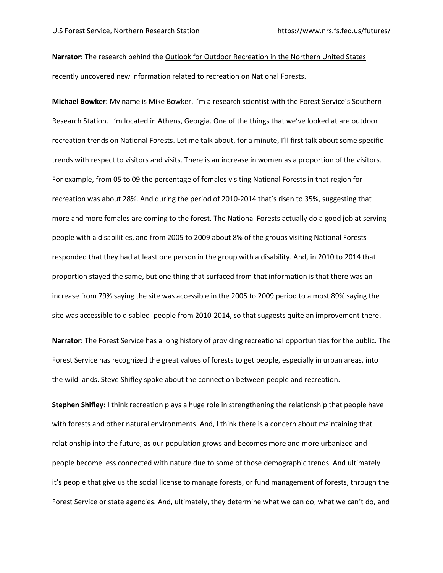**Narrator:** The research behind the Outlook for Outdoor Recreation in the Northern United States recently uncovered new information related to recreation on National Forests.

**Michael Bowker**: My name is Mike Bowker. I'm a research scientist with the Forest Service's Southern Research Station. I'm located in Athens, Georgia. One of the things that we've looked at are outdoor recreation trends on National Forests. Let me talk about, for a minute, I'll first talk about some specific trends with respect to visitors and visits. There is an increase in women as a proportion of the visitors. For example, from 05 to 09 the percentage of females visiting National Forests in that region for recreation was about 28%. And during the period of 2010-2014 that's risen to 35%, suggesting that more and more females are coming to the forest. The National Forests actually do a good job at serving people with a disabilities, and from 2005 to 2009 about 8% of the groups visiting National Forests responded that they had at least one person in the group with a disability. And, in 2010 to 2014 that proportion stayed the same, but one thing that surfaced from that information is that there was an increase from 79% saying the site was accessible in the 2005 to 2009 period to almost 89% saying the site was accessible to disabled people from 2010-2014, so that suggests quite an improvement there.

**Narrator:** The Forest Service has a long history of providing recreational opportunities for the public. The Forest Service has recognized the great values of forests to get people, especially in urban areas, into the wild lands. Steve Shifley spoke about the connection between people and recreation.

**Stephen Shifley**: I think recreation plays a huge role in strengthening the relationship that people have with forests and other natural environments. And, I think there is a concern about maintaining that relationship into the future, as our population grows and becomes more and more urbanized and people become less connected with nature due to some of those demographic trends. And ultimately it's people that give us the social license to manage forests, or fund management of forests, through the Forest Service or state agencies. And, ultimately, they determine what we can do, what we can't do, and